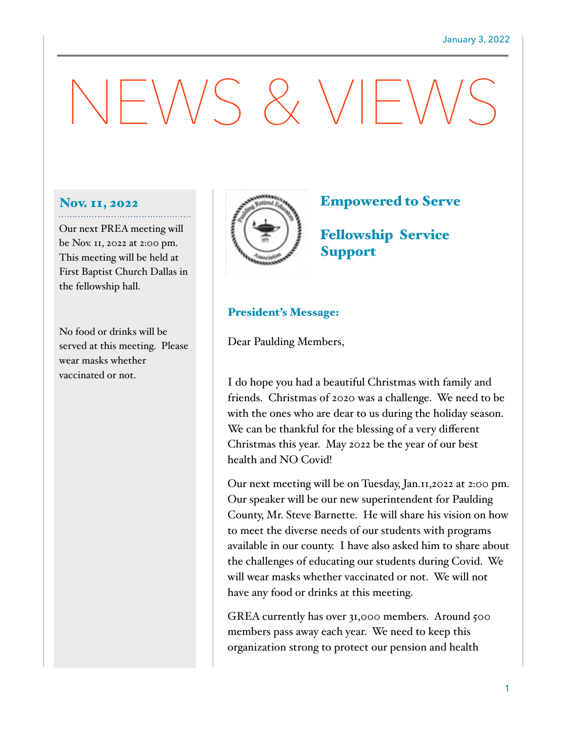# NEWS & VIEWS

## Nov. 11, 2022

Our next PREA meeting will be Nov. 11, 2022 at 2:00 pm. This meeting will be held at First Baptist Church Dallas in the fellowship hall.

No food or drinks will be served at this meeting. Please wear masks whether vaccinated or not.



#### Empowered to Serve

Fellowship Service Support

#### President's Message:

Dear Paulding Members,

I do hope you had a beautiful Christmas with family and friends. Christmas of 2020 was a challenge. We need to be with the ones who are dear to us during the holiday season. We can be thankful for the blessing of a very different Christmas this year. May 2022 be the year of our best health and NO Covid!

Our next meeting will be on Tuesday, Jan.11,2022 at 2:00 pm. Our speaker will be our new superintendent for Paulding County, Mr. Steve Barnette. He will share his vision on how to meet the diverse needs of our students with programs available in our county. I have also asked him to share about the challenges of educating our students during Covid. We will wear masks whether vaccinated or not. We will not have any food or drinks at this meeting.

GREA currently has over 31,000 members. Around 500 members pass away each year. We need to keep this organization strong to protect our pension and health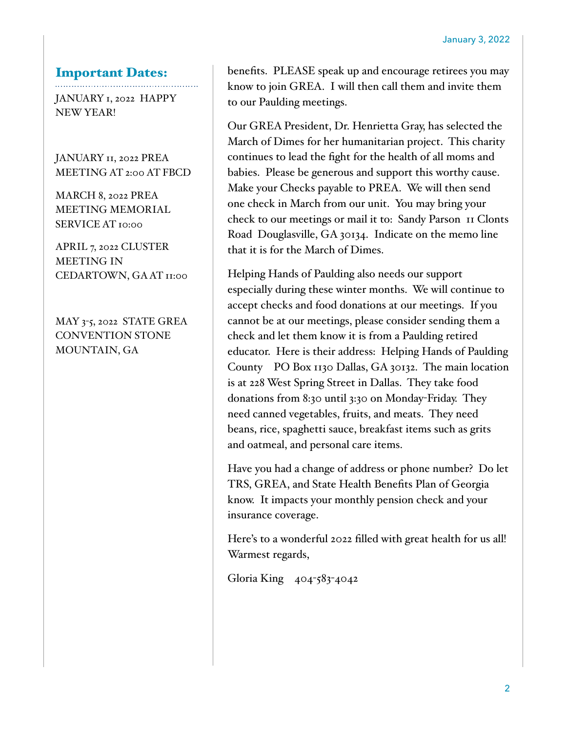#### Important Dates:

JANUARY 1, 2022 HAPPY NEW YEAR!

JANUARY 11, 2022 PREA MEETING AT 2:00 AT FBCD

MARCH 8, 2022 PREA MEETING MEMORIAL SERVICE AT 10:00

APRIL 7, 2022 CLUSTER MEETING IN CEDARTOWN, GA AT 11:00

MAY 3-5, 2022 STATE GREA CONVENTION STONE MOUNTAIN, GA

benefits. PLEASE speak up and encourage retirees you may know to join GREA. I will then call them and invite them to our Paulding meetings.

Our GREA President, Dr. Henrietta Gray, has selected the March of Dimes for her humanitarian project. This charity continues to lead the fight for the health of all moms and babies. Please be generous and support this worthy cause. Make your Checks payable to PREA. We will then send one check in March from our unit. You may bring your check to our meetings or mail it to: Sandy Parson 11 Clonts Road Douglasville, GA 30134. Indicate on the memo line that it is for the March of Dimes.

Helping Hands of Paulding also needs our support especially during these winter months. We will continue to accept checks and food donations at our meetings. If you cannot be at our meetings, please consider sending them a check and let them know it is from a Paulding retired educator. Here is their address: Helping Hands of Paulding County PO Box 1130 Dallas, GA 30132. The main location is at 228 West Spring Street in Dallas. They take food donations from 8:30 until 3:30 on Monday-Friday. They need canned vegetables, fruits, and meats. They need beans, rice, spaghetti sauce, breakfast items such as grits and oatmeal, and personal care items.

Have you had a change of address or phone number? Do let TRS, GREA, and State Health Benefits Plan of Georgia know. It impacts your monthly pension check and your insurance coverage.

Here's to a wonderful 2022 filled with great health for us all! Warmest regards,

Gloria King 404-583-4042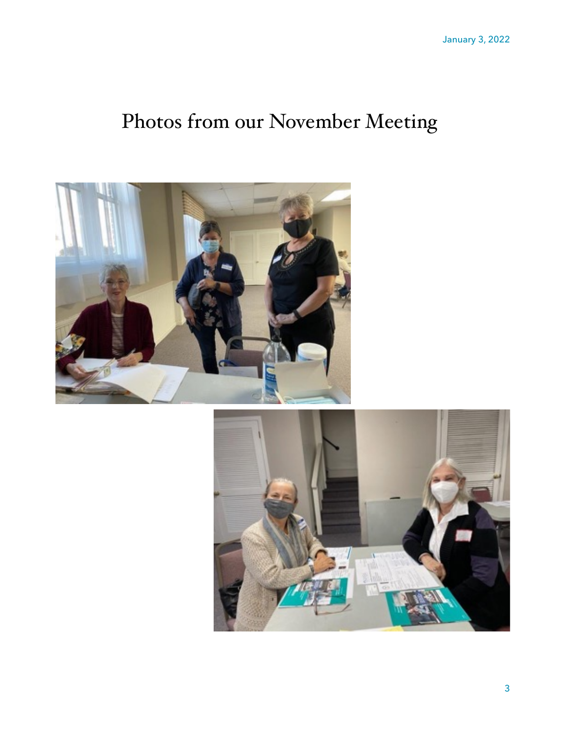# Photos from our November Meeting



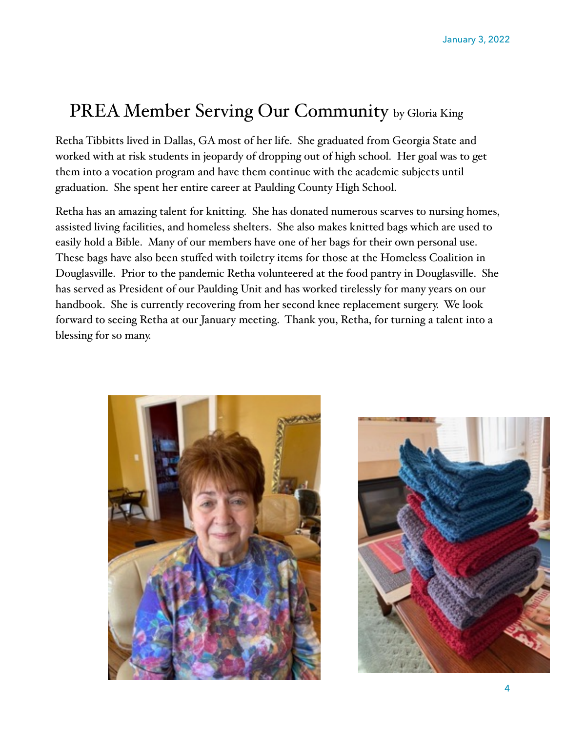## PREA Member Serving Our Community by Gloria King

Retha Tibbitts lived in Dallas, GA most of her life. She graduated from Georgia State and worked with at risk students in jeopardy of dropping out of high school. Her goal was to get them into a vocation program and have them continue with the academic subjects until graduation. She spent her entire career at Paulding County High School.

Retha has an amazing talent for knitting. She has donated numerous scarves to nursing homes, assisted living facilities, and homeless shelters. She also makes knitted bags which are used to easily hold a Bible. Many of our members have one of her bags for their own personal use. These bags have also been stuffed with toiletry items for those at the Homeless Coalition in Douglasville. Prior to the pandemic Retha volunteered at the food pantry in Douglasville. She has served as President of our Paulding Unit and has worked tirelessly for many years on our handbook. She is currently recovering from her second knee replacement surgery. We look forward to seeing Retha at our January meeting. Thank you, Retha, for turning a talent into a blessing for so many.